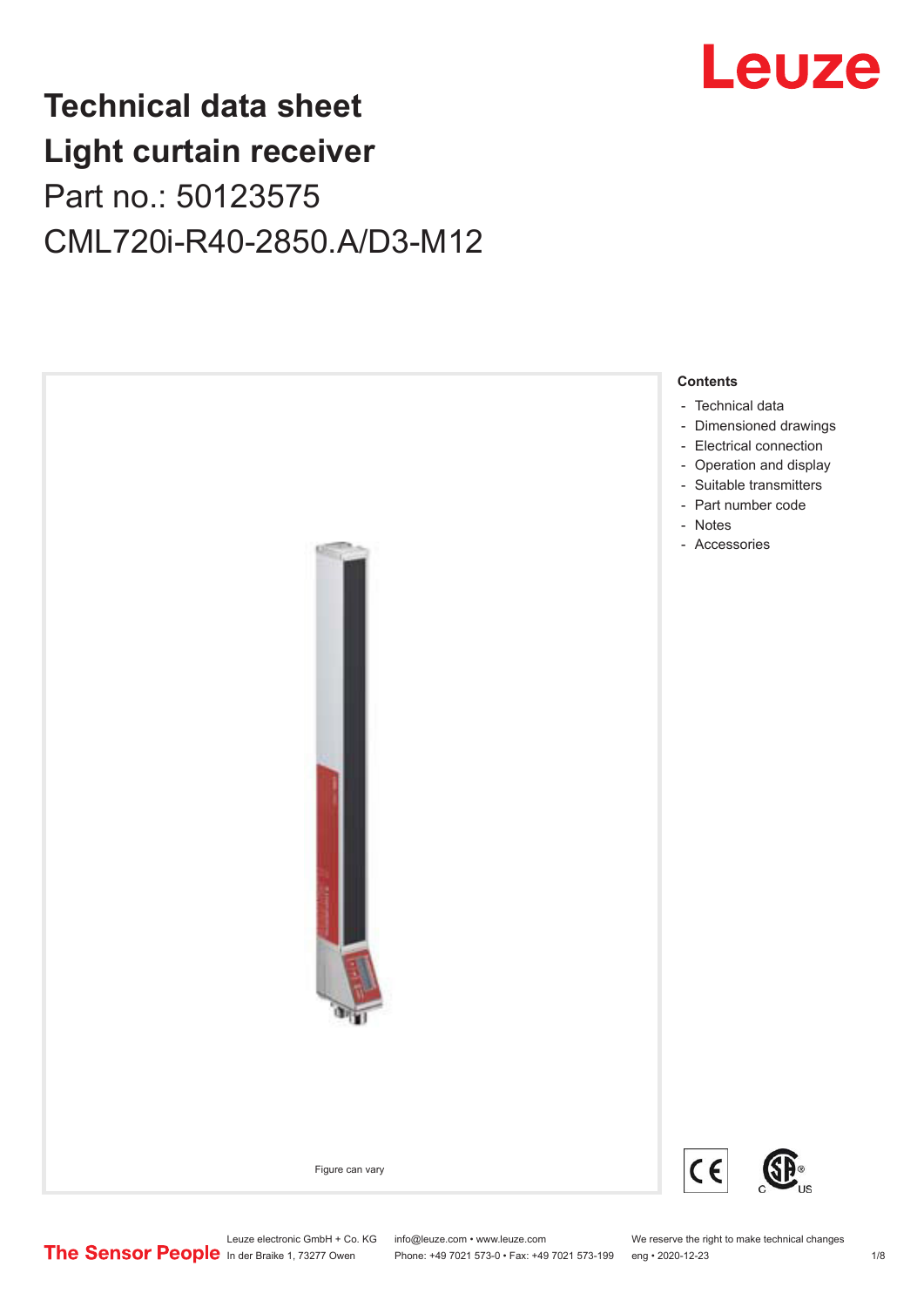

## **Technical data sheet Light curtain receiver** Part no.: 50123575 CML720i-R40-2850.A/D3-M12



Leuze electronic GmbH + Co. KG info@leuze.com • www.leuze.com We reserve the right to make technical changes<br>
The Sensor People in der Braike 1, 73277 Owen Phone: +49 7021 573-0 • Fax: +49 7021 573-199 eng • 2020-12-23

Phone: +49 7021 573-0 • Fax: +49 7021 573-199 eng • 2020-12-23 1 /8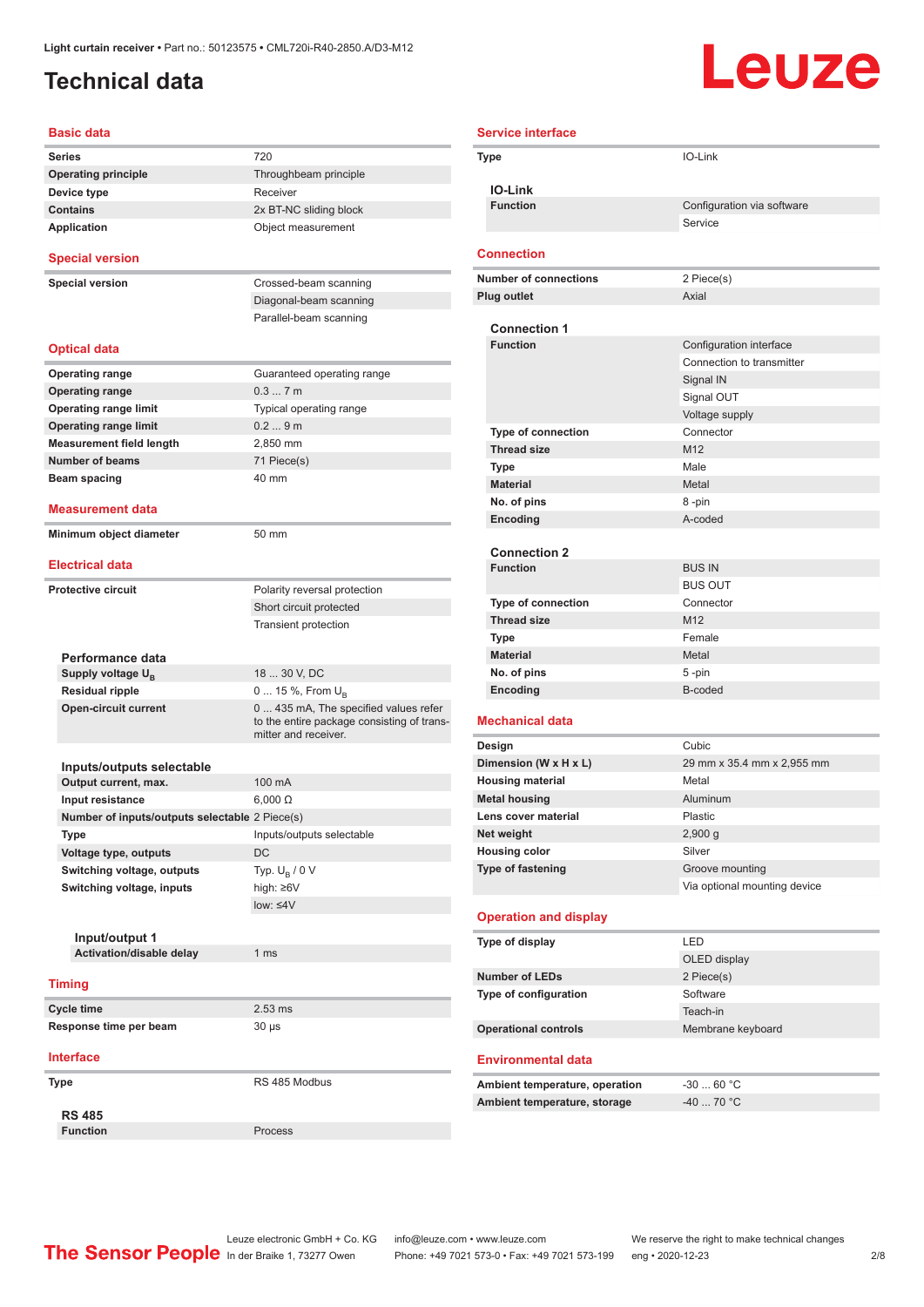### <span id="page-1-0"></span>**Technical data**

# Leuze

| <b>Basic data</b>                                 |                                                                                                             |
|---------------------------------------------------|-------------------------------------------------------------------------------------------------------------|
| <b>Series</b>                                     | 720                                                                                                         |
| <b>Operating principle</b>                        | Throughbeam principle                                                                                       |
| Device type                                       | Receiver                                                                                                    |
| <b>Contains</b>                                   | 2x BT-NC sliding block                                                                                      |
| <b>Application</b>                                | Object measurement                                                                                          |
| <b>Special version</b>                            |                                                                                                             |
| <b>Special version</b>                            | Crossed-beam scanning                                                                                       |
|                                                   | Diagonal-beam scanning                                                                                      |
|                                                   | Parallel-beam scanning                                                                                      |
| <b>Optical data</b>                               |                                                                                                             |
| <b>Operating range</b>                            | Guaranteed operating range                                                                                  |
| <b>Operating range</b>                            | 0.37m                                                                                                       |
| <b>Operating range limit</b>                      | Typical operating range                                                                                     |
| <b>Operating range limit</b>                      | 0.29m                                                                                                       |
| <b>Measurement field length</b>                   | 2,850 mm                                                                                                    |
| <b>Number of beams</b>                            | 71 Piece(s)                                                                                                 |
| Beam spacing                                      | 40 mm                                                                                                       |
| Measurement data                                  |                                                                                                             |
|                                                   |                                                                                                             |
| Minimum object diameter                           | 50 mm                                                                                                       |
| <b>Electrical data</b>                            |                                                                                                             |
| <b>Protective circuit</b>                         | Polarity reversal protection                                                                                |
|                                                   | Short circuit protected                                                                                     |
|                                                   | <b>Transient protection</b>                                                                                 |
|                                                   |                                                                                                             |
| Performance data                                  |                                                                                                             |
| Supply voltage U <sub>B</sub>                     | 18  30 V, DC                                                                                                |
| <b>Residual ripple</b>                            | 0  15 %, From $U_{\rm B}$                                                                                   |
| <b>Open-circuit current</b>                       | 0  435 mA, The specified values refer<br>to the entire package consisting of trans-<br>mitter and receiver. |
|                                                   |                                                                                                             |
| Inputs/outputs selectable                         |                                                                                                             |
| Output current, max.                              | 100 mA                                                                                                      |
| Input resistance                                  | $6,000 \Omega$                                                                                              |
| Number of inputs/outputs selectable 2 Piece(s)    |                                                                                                             |
| Type                                              | Inputs/outputs selectable                                                                                   |
| Voltage type, outputs                             | <b>DC</b>                                                                                                   |
| Switching voltage, outputs                        | Typ. $U_R / 0 V$                                                                                            |
| Switching voltage, inputs                         | high: $\geq 6V$                                                                                             |
|                                                   | low: $\leq 4V$                                                                                              |
|                                                   |                                                                                                             |
| Input/output 1<br><b>Activation/disable delay</b> | 1 <sub>ms</sub>                                                                                             |
|                                                   |                                                                                                             |
| <b>Timing</b>                                     |                                                                                                             |
| Cycle time                                        | $2.53$ ms                                                                                                   |
| Response time per beam                            | $30 \mu s$                                                                                                  |
| <b>Interface</b>                                  |                                                                                                             |
| <b>Type</b>                                       | RS 485 Modbus                                                                                               |
|                                                   |                                                                                                             |
| <b>RS 485</b>                                     |                                                                                                             |
| <b>Function</b>                                   | Process                                                                                                     |

| <b>Service interface</b> |                                                 |                                     |  |
|--------------------------|-------------------------------------------------|-------------------------------------|--|
|                          | Type                                            | IO-Link                             |  |
|                          |                                                 |                                     |  |
|                          | <b>IO-Link</b>                                  |                                     |  |
|                          | <b>Function</b>                                 | Configuration via software          |  |
|                          |                                                 | Service                             |  |
|                          | <b>Connection</b>                               |                                     |  |
|                          | <b>Number of connections</b>                    | 2 Piece(s)                          |  |
|                          | <b>Plug outlet</b>                              | Axial                               |  |
|                          |                                                 |                                     |  |
|                          | <b>Connection 1</b>                             |                                     |  |
|                          | <b>Function</b>                                 | Configuration interface             |  |
|                          |                                                 | Connection to transmitter           |  |
|                          |                                                 | Signal IN                           |  |
|                          |                                                 | Signal OUT                          |  |
|                          |                                                 | Voltage supply                      |  |
|                          | Type of connection                              | Connector                           |  |
|                          | <b>Thread size</b>                              | M <sub>12</sub>                     |  |
|                          | <b>Type</b>                                     | Male                                |  |
|                          | <b>Material</b>                                 | Metal                               |  |
|                          | No. of pins                                     | 8-pin                               |  |
|                          | Encoding                                        | A-coded                             |  |
|                          | <b>Connection 2</b>                             |                                     |  |
|                          | <b>Function</b>                                 | <b>BUS IN</b>                       |  |
|                          |                                                 | <b>BUS OUT</b>                      |  |
|                          | <b>Type of connection</b>                       | Connector                           |  |
|                          | <b>Thread size</b>                              | M <sub>12</sub>                     |  |
|                          | <b>Type</b>                                     | Female                              |  |
|                          | <b>Material</b>                                 | Metal                               |  |
|                          | No. of pins                                     | 5-pin                               |  |
|                          | Encoding                                        | B-coded                             |  |
|                          |                                                 |                                     |  |
| <b>Mechanical data</b>   |                                                 |                                     |  |
|                          | Design                                          | Cubic                               |  |
|                          | Dimension (W x H x L)                           | 29 mm x 35.4 mm x 2,955 mm<br>Metal |  |
|                          | <b>Housing material</b><br><b>Metal housing</b> | Aluminum                            |  |
|                          | Lens cover material                             | Plastic                             |  |
|                          | Net weight                                      | 2,900 g                             |  |
|                          | <b>Housing color</b>                            | Silver                              |  |
|                          | <b>Type of fastening</b>                        | Groove mounting                     |  |
|                          |                                                 | Via optional mounting device        |  |
|                          |                                                 |                                     |  |
|                          | <b>Operation and display</b>                    |                                     |  |
|                          | Type of display                                 | LED                                 |  |
|                          |                                                 | OLED display                        |  |
|                          | <b>Number of LEDs</b>                           | 2 Piece(s)                          |  |
|                          | Type of configuration                           | Software                            |  |
|                          |                                                 | Teach-in                            |  |
|                          | <b>Operational controls</b>                     | Membrane keyboard                   |  |
|                          | <b>Environmental data</b>                       |                                     |  |
|                          |                                                 |                                     |  |
|                          | Ambient temperature, operation                  | $-3060 °C$                          |  |
|                          | Ambient temperature, storage                    | $-40$ 70 °C                         |  |

Leuze electronic GmbH + Co. KG info@leuze.com • www.leuze.com We reserve the right to make technical changes In der Braike 1, 73277 Owen Phone: +49 7021 573-0 • Fax: +49 7021 573-199 eng • 2020-12-23 2 /8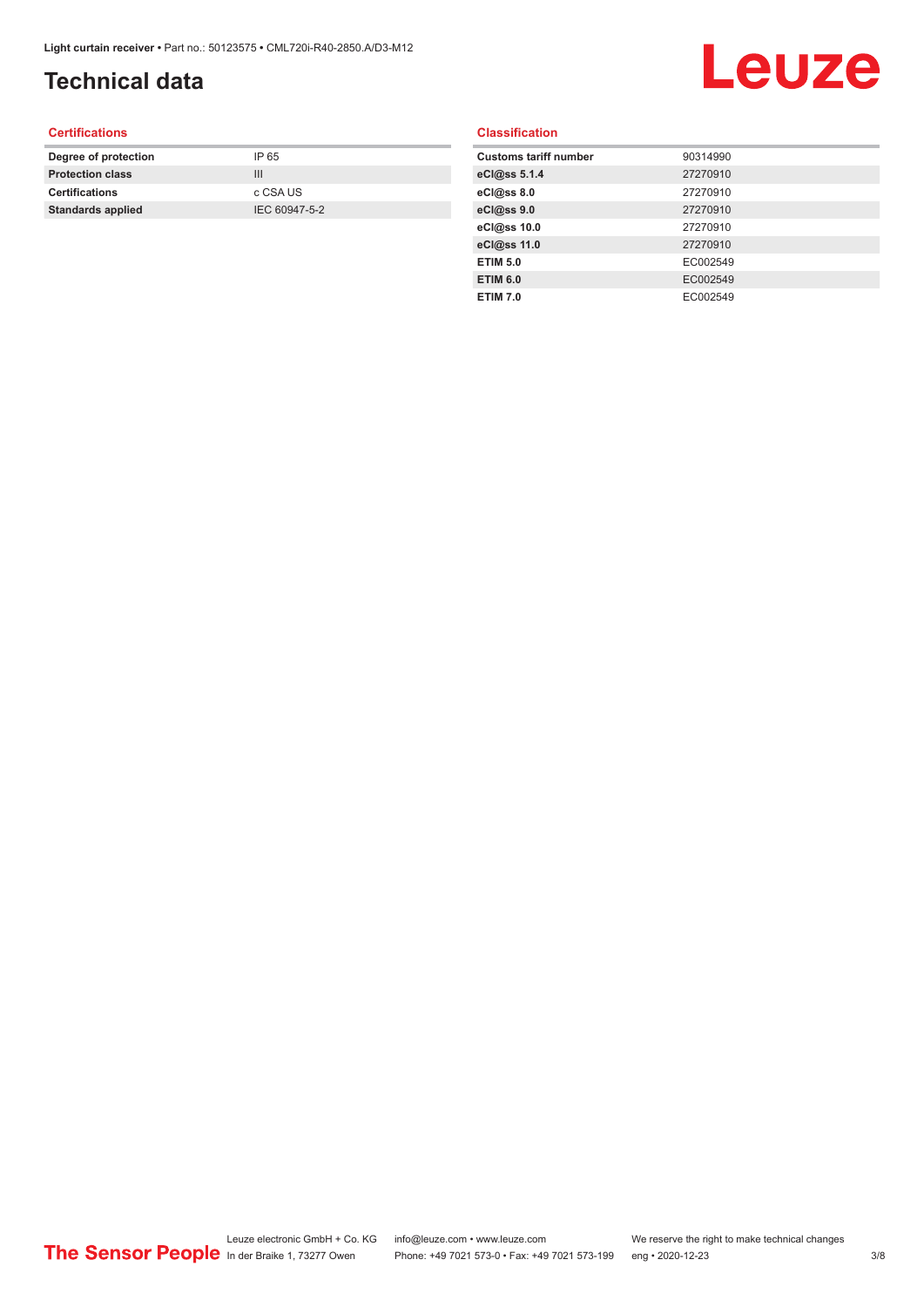## **Technical data**

## Leuze

#### **Certifications**

| Degree of protection     | IP 65         |
|--------------------------|---------------|
| <b>Protection class</b>  | Ш             |
| <b>Certifications</b>    | c CSA US      |
| <b>Standards applied</b> | IEC 60947-5-2 |
|                          |               |

#### **Classification**

| <b>Customs tariff number</b> | 90314990 |
|------------------------------|----------|
| eCl@ss 5.1.4                 | 27270910 |
| eCl@ss 8.0                   | 27270910 |
| eCl@ss 9.0                   | 27270910 |
| eCl@ss 10.0                  | 27270910 |
| eCl@ss 11.0                  | 27270910 |
| <b>ETIM 5.0</b>              | EC002549 |
| <b>ETIM 6.0</b>              | EC002549 |
| <b>ETIM 7.0</b>              | EC002549 |
|                              |          |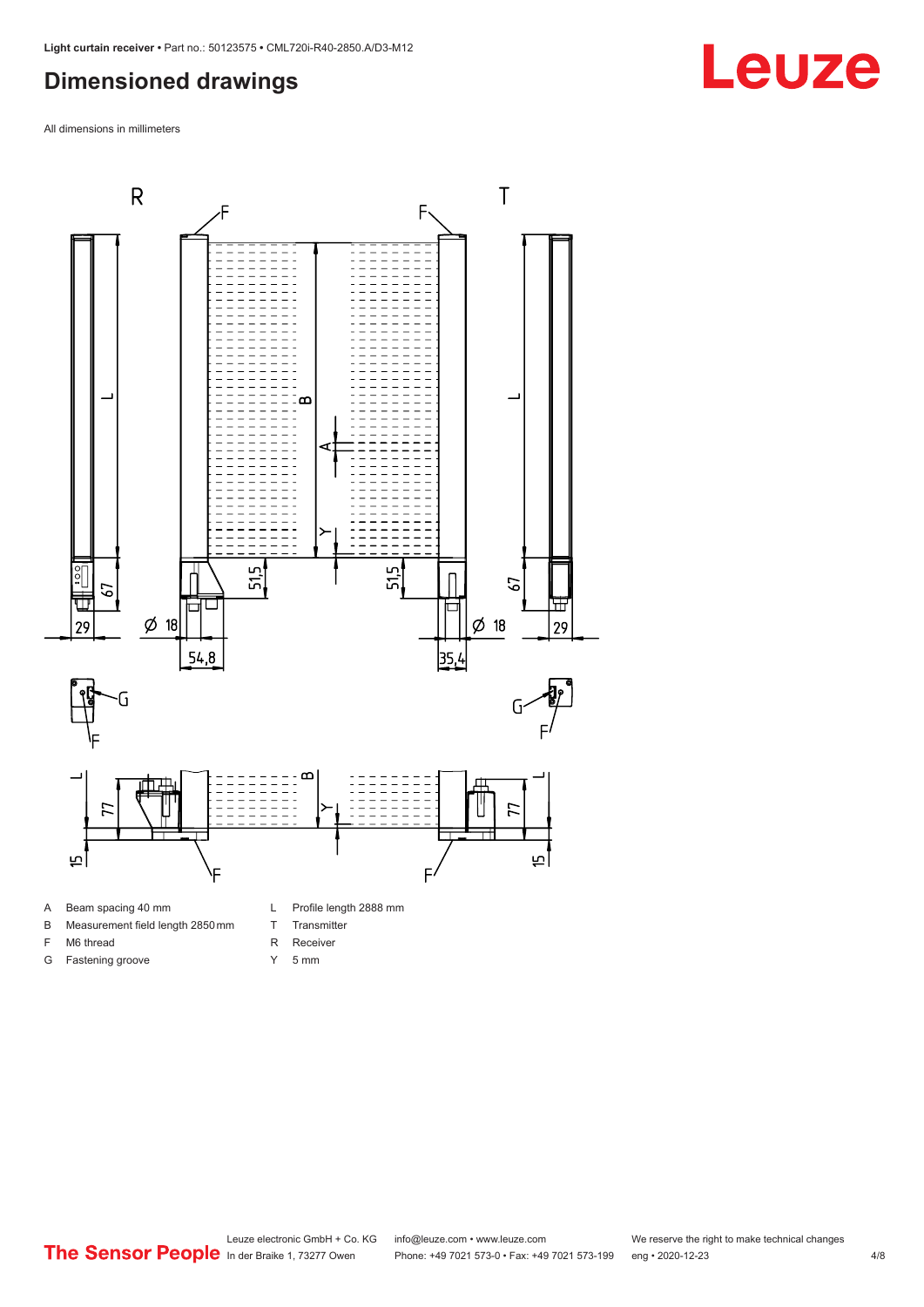#### <span id="page-3-0"></span>**Dimensioned drawings**

All dimensions in millimeters



- 
- B Measurement field length 2850 mm
- F M6 thread

G Fastening groove

- R Receiver
	- Y 5 mm

T Transmitter

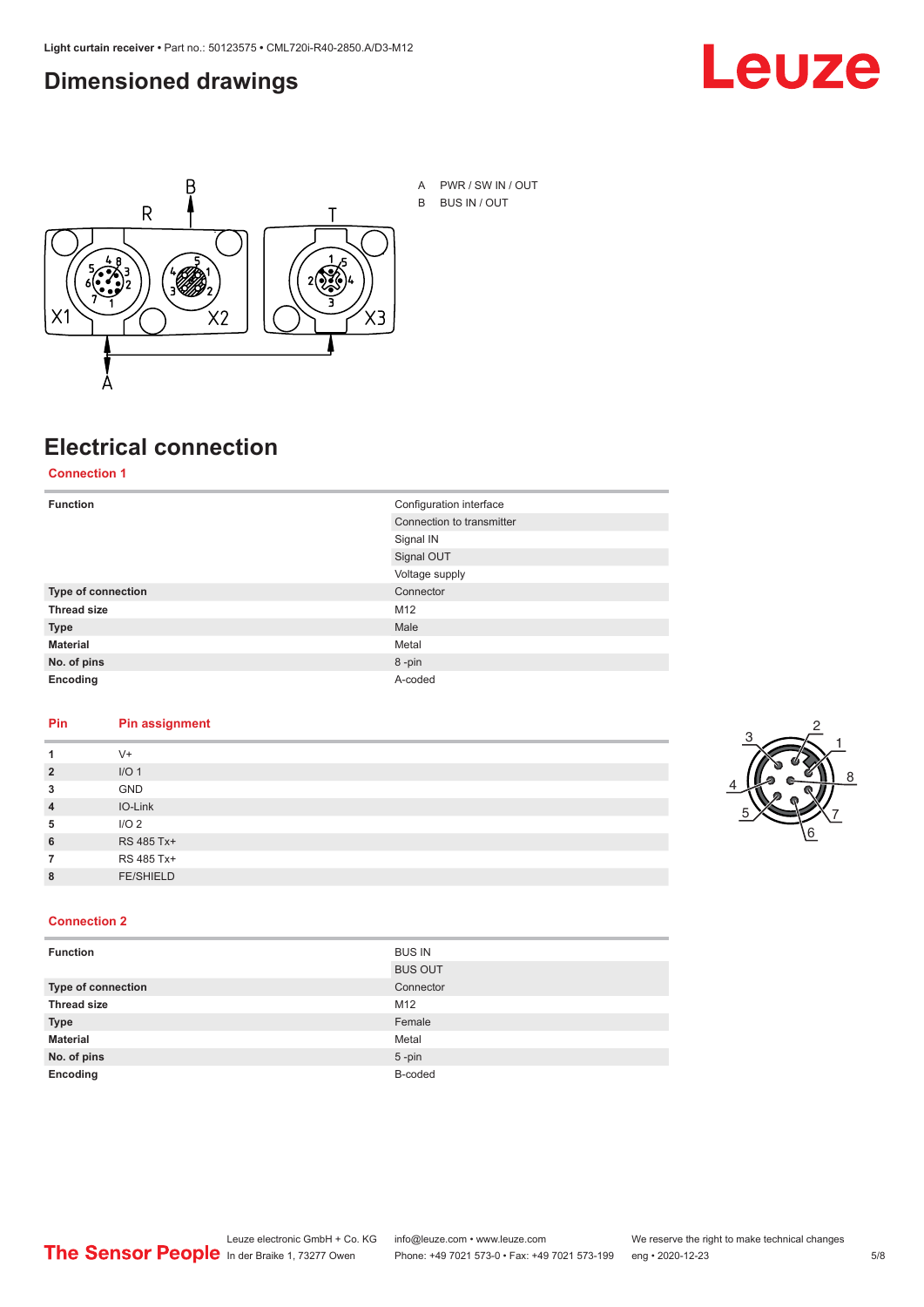#### <span id="page-4-0"></span>**Dimensioned drawings**





A PWR / SW IN / OUT B BUS IN / OUT

## **Electrical connection**

**Connection 1**

| <b>Function</b>    | Configuration interface   |
|--------------------|---------------------------|
|                    | Connection to transmitter |
|                    | Signal IN                 |
|                    | Signal OUT                |
|                    | Voltage supply            |
| Type of connection | Connector                 |
| <b>Thread size</b> | M12                       |
| <b>Type</b>        | Male                      |
| <b>Material</b>    | Metal                     |
| No. of pins        | 8-pin                     |
| Encoding           | A-coded                   |

#### **Pin Pin assignment**

| 1              | $V +$            |  |  |
|----------------|------------------|--|--|
| $\overline{2}$ | I/O <sub>1</sub> |  |  |
| 3              | <b>GND</b>       |  |  |
| $\overline{4}$ | IO-Link          |  |  |
| 5              | I/O <sub>2</sub> |  |  |
| 6              | RS 485 Tx+       |  |  |
| 7              | RS 485 Tx+       |  |  |
| 8              | <b>FE/SHIELD</b> |  |  |
|                |                  |  |  |



#### **Connection 2**

| <b>Function</b>    | <b>BUS IN</b>  |
|--------------------|----------------|
|                    | <b>BUS OUT</b> |
| Type of connection | Connector      |
| <b>Thread size</b> | M12            |
| <b>Type</b>        | Female         |
| <b>Material</b>    | Metal          |
| No. of pins        | $5$ -pin       |
| Encoding           | B-coded        |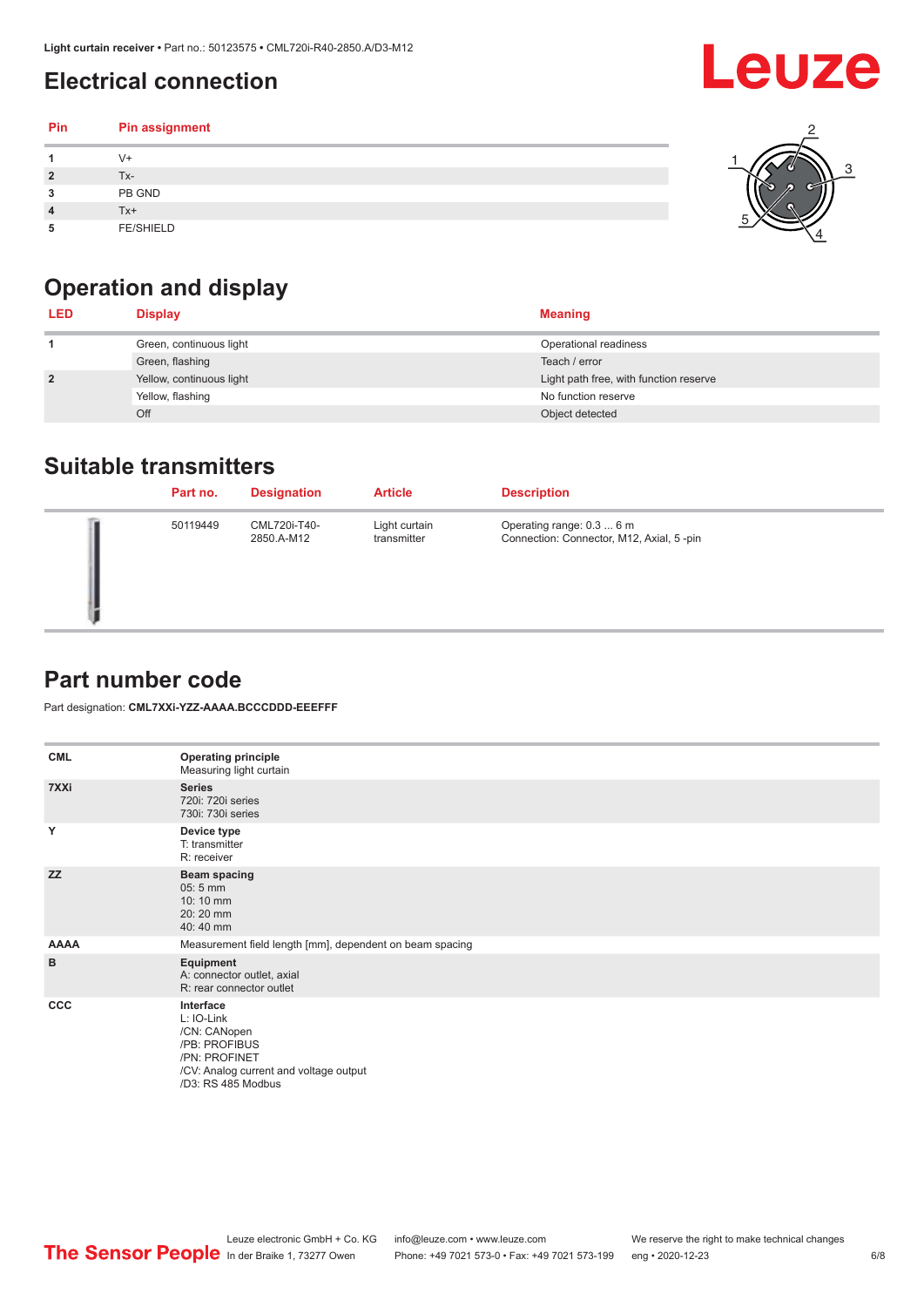### <span id="page-5-0"></span>**Electrical connection**

#### **Pin Pin assignment 1** V+ **2** Tx-**3** PB GND **4** Tx+ **5** FE/SHIELD 3 2 1 5 4



| <b>LED</b>     | <b>Display</b>           | <b>Meaning</b>                         |
|----------------|--------------------------|----------------------------------------|
|                | Green, continuous light  | Operational readiness                  |
|                | Green, flashing          | Teach / error                          |
| $\overline{2}$ | Yellow, continuous light | Light path free, with function reserve |
|                | Yellow, flashing         | No function reserve                    |
|                | Off                      | Object detected                        |

#### **Suitable transmitters**

| Part no. | <b>Designation</b>         | <b>Article</b>               | <b>Description</b>                                                    |
|----------|----------------------------|------------------------------|-----------------------------------------------------------------------|
| 50119449 | CML720i-T40-<br>2850.A-M12 | Light curtain<br>transmitter | Operating range: 0.3  6 m<br>Connection: Connector, M12, Axial, 5-pin |

### **Part number code**

Part designation: **CML7XXi-YZZ-AAAA.BCCCDDD-EEEFFF**

| <b>CML</b>   | <b>Operating principle</b><br>Measuring light curtain                                                                                     |
|--------------|-------------------------------------------------------------------------------------------------------------------------------------------|
| 7XXi         | <b>Series</b><br>720i: 720i series<br>730i: 730i series                                                                                   |
| Y            | Device type<br>T: transmitter<br>R: receiver                                                                                              |
| <b>ZZ</b>    | <b>Beam spacing</b><br>$05:5$ mm<br>10:10 mm<br>20:20 mm<br>40:40 mm                                                                      |
| <b>AAAA</b>  | Measurement field length [mm], dependent on beam spacing                                                                                  |
| B            | Equipment<br>A: connector outlet, axial<br>R: rear connector outlet                                                                       |
| $_{\rm ccc}$ | Interface<br>L: IO-Link<br>/CN: CANopen<br>/PB: PROFIBUS<br>/PN: PROFINET<br>/CV: Analog current and voltage output<br>/D3: RS 485 Modbus |



**Leuze**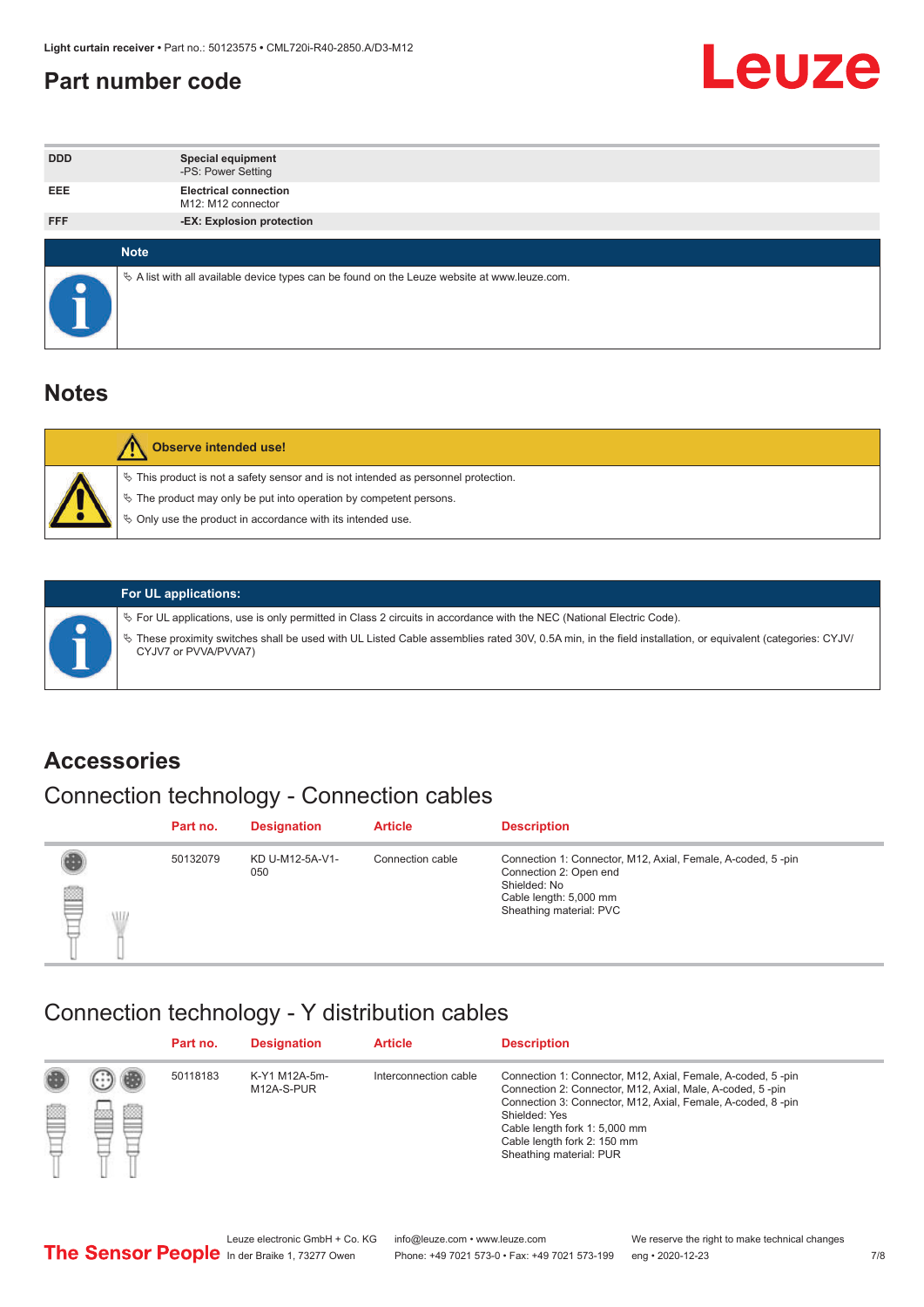#### <span id="page-6-0"></span>**Part number code**



| <b>DDD</b> | <b>Special equipment</b><br>-PS: Power Setting                                                  |
|------------|-------------------------------------------------------------------------------------------------|
| <b>EEE</b> | <b>Electrical connection</b><br>M12: M12 connector                                              |
| <b>FFF</b> | -EX: Explosion protection                                                                       |
|            |                                                                                                 |
|            | <b>Note</b>                                                                                     |
|            | $\&$ A list with all available device types can be found on the Leuze website at www.leuze.com. |

#### **Notes**

| <b>Observe intended use!</b>                                                                                                                                                                                                  |
|-------------------------------------------------------------------------------------------------------------------------------------------------------------------------------------------------------------------------------|
| $\%$ This product is not a safety sensor and is not intended as personnel protection.<br>$\%$ The product may only be put into operation by competent persons.<br>♦ Only use the product in accordance with its intended use. |



#### **For UL applications:**

ª For UL applications, use is only permitted in Class 2 circuits in accordance with the NEC (National Electric Code). ª These proximity switches shall be used with UL Listed Cable assemblies rated 30V, 0.5A min, in the field installation, or equivalent (categories: CYJV/ CYJV7 or PVVA/PVVA7)

#### **Accessories**

## Connection technology - Connection cables

|        | Part no. | <b>Designation</b>     | <b>Article</b>   | <b>Description</b>                                                                                                                                         |
|--------|----------|------------------------|------------------|------------------------------------------------------------------------------------------------------------------------------------------------------------|
| 2<br>W | 50132079 | KD U-M12-5A-V1-<br>050 | Connection cable | Connection 1: Connector, M12, Axial, Female, A-coded, 5-pin<br>Connection 2: Open end<br>Shielded: No<br>Cable length: 5,000 mm<br>Sheathing material: PVC |

#### Connection technology - Y distribution cables

|        |   | Part no. | <b>Designation</b>          | <b>Article</b>        | <b>Description</b>                                                                                                                                                                                                                                                                                  |
|--------|---|----------|-----------------------------|-----------------------|-----------------------------------------------------------------------------------------------------------------------------------------------------------------------------------------------------------------------------------------------------------------------------------------------------|
| 圔<br>⋿ | Ø | 50118183 | K-Y1 M12A-5m-<br>M12A-S-PUR | Interconnection cable | Connection 1: Connector, M12, Axial, Female, A-coded, 5-pin<br>Connection 2: Connector, M12, Axial, Male, A-coded, 5-pin<br>Connection 3: Connector, M12, Axial, Female, A-coded, 8-pin<br>Shielded: Yes<br>Cable length fork 1: 5,000 mm<br>Cable length fork 2: 150 mm<br>Sheathing material: PUR |